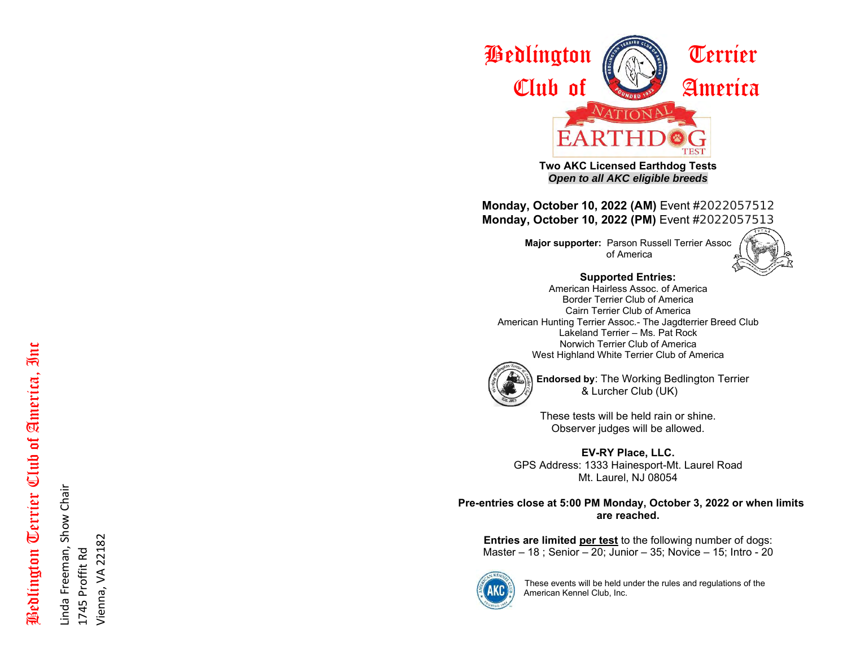

**Two AKC Licensed Earthdog Tests** *Open to all AKC eligible breeds*

**Monday, October 10, 2022 (AM)** Event #2022057512 **Monday, October 10, 2022 (PM)** Event #2022057513

> **Major supporter:** Parson Russell Terrier Assoc of America



**Supported Entries:**

American Hairless Assoc. of America Border Terrier Club of America Cairn Terrier Club of America Ame rican Hunting Terrier Assoc. - The Jagdterrier Breed Club Lakeland Terrier – Ms. Pat Rock Norwich Terrier Club of America West Highland White Terrier Club of America



 **Endorsed by**: The Working Bedlington Terrier & Lurcher Club (UK)

> These tests will be held rain or shine. Observer judges will be allowed.

**EV -RY Place, LLC.** GPS Address: 1333 Hainesport -Mt. Laurel Road Mt. Laurel, NJ 08054

 **Pre -entries close at 5:00 PM Monday, Octobe r 3, 2022 or when limits are reached.**

**Entries are limited per test** to the following number of dogs: Master – 18 ; Senior – 20; Junior – 3 5; Novice – 15; Intro - 20



These events will be held under the rules and regulations of the American Kennel Club, Inc.

# Bedlington Terrier Club of America, Inc Bedlington Terrier Club of America, Inc

Linda Freeman, Show Chair Linda Freeman, Show Chair 1745 Proffit Rd Vienna, VA 22182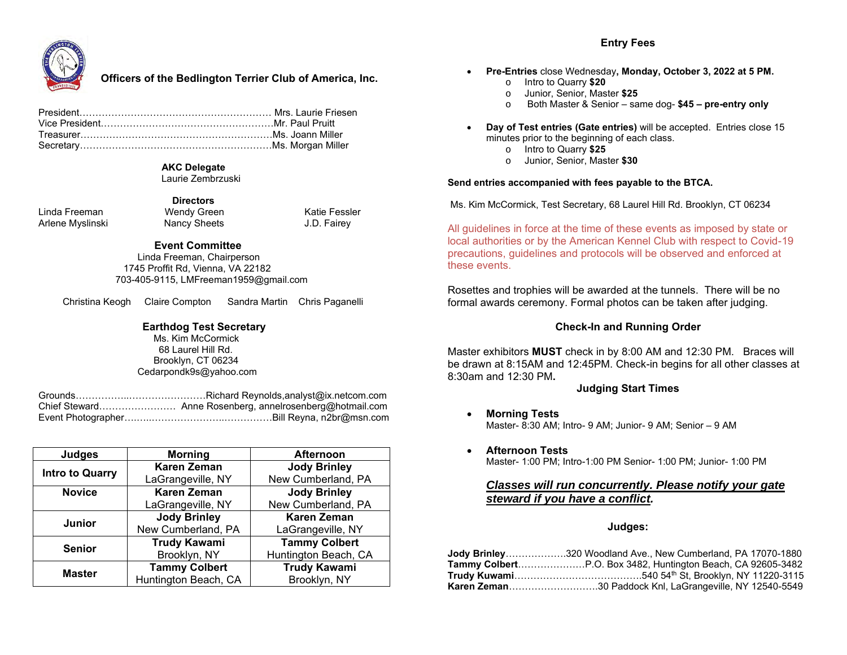### **Entry Fees**



### **Officers of the Bedlington Terrier Club of America, Inc.**

### **AKC Delegate**

 **Directors**

Laurie Zembrzuski

Linda Freeman Wendy Green Katie Fessler Arlene Myslinski

### **Event Committee**

 Linda Freeman, Chairperson 1745 Proffit Rd, Vienna, VA 22182 703-405-9115, LMFreeman1959@gmail.com

Christina Keogh Claire Compton Sandra Martin Chris Paganelli

### **Earthdog Test Secretary**

 Ms. Kim McCormick 68 Laurel Hill Rd. Brooklyn, CT 06234 Cedarpondk9s@yahoo.com

Grounds……………..……………………Richard Reynolds,analyst@ix.netcom.com Chief Steward…………………… Anne Rosenberg, annelrosenberg@hotmail.com Event Photographer….…..…………………..……………Bill Reyna, n2br@msn.com

| Judges                 | <b>Morning</b>       | <b>Afternoon</b>     |
|------------------------|----------------------|----------------------|
| <b>Intro to Quarry</b> | <b>Karen Zeman</b>   | <b>Jody Brinley</b>  |
|                        | LaGrangeville, NY    | New Cumberland, PA   |
| <b>Novice</b>          | <b>Karen Zeman</b>   | <b>Jody Brinley</b>  |
|                        | LaGrangeville, NY    | New Cumberland, PA   |
| <b>Junior</b>          | <b>Jody Brinley</b>  | <b>Karen Zeman</b>   |
|                        | New Cumberland, PA   | LaGrangeville, NY    |
| <b>Senior</b>          | <b>Trudy Kawami</b>  | <b>Tammy Colbert</b> |
|                        | Brooklyn, NY         | Huntington Beach, CA |
| <b>Master</b>          | <b>Tammy Colbert</b> | <b>Trudy Kawami</b>  |
|                        | Huntington Beach, CA | Brooklyn, NY         |

- **Pre-Entries** close Wednesday**, Monday, October 3, 2022 at 5 PM.**
	- o Intro to Quarry **\$20**
	- o Junior, Senior, Master **\$25**
	- o Both Master & Senior same dog- **\$45 – pre-entry only**
- **Day of Test entries (Gate entries)** will be accepted. Entries close 15 minutes prior to the beginning of each class.
	- o Intro to Quarry **\$25**
	- o Junior, Senior, Master **\$30**

### **Send entries accompanied with fees payable to the BTCA.**

Ms. Kim McCormick, Test Secretary, 68 Laurel Hill Rd. Brooklyn, CT 06234

All guidelines in force at the time of these events as imposed by state or local authorities or by the American Kennel Club with respect to Covid-19 precautions, guidelines and protocols will be observed and enforced at these events.

Rosettes and trophies will be awarded at the tunnels. There will be no formal awards ceremony. Formal photos can be taken after judging.

### **Check-In and Running Order**

Master exhibitors **MUST** check in by 8:00 AM and 12:30 PM. Braces will be drawn at 8:15AM and 12:45PM. Check-in begins for all other classes at 8:30am and 12:30 PM**.**

### **Judging Start Times**

- **Morning Tests** Master- 8:30 AM; Intro- 9 AM; Junior- 9 AM; Senior – 9 AM
- **Afternoon Tests** Master- 1:00 PM; Intro-1:00 PM Senior- 1:00 PM; Junior- 1:00 PM

### *Classes will run concurrently. Please notify your gate steward if you have a conflict.*

### **Judges:**

| Jody Brinley320 Woodland Ave., New Cumberland, PA 17070-1880   |
|----------------------------------------------------------------|
|                                                                |
|                                                                |
| <b>Karen Zeman30 Paddock Knl, LaGrangeville, NY 12540-5549</b> |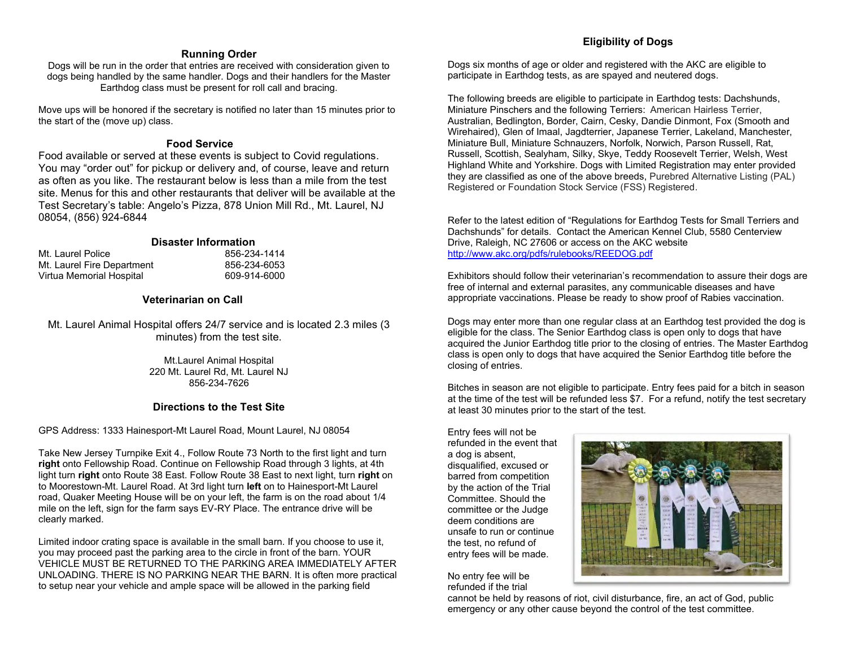### **Running Order**

Dogs will be run in the order that entries are received with consideration given to dogs being handled by the same handler. Dogs and their handlers for the Master Earthdog class must be present for roll call and bracing.

Move ups will be honored if the secretary is notified no later than 15 minutes prior to the start of the (move up) class.

### **Food Service**

Food available or served at these events is subject to Covid regulations. You may "order out" for pickup or delivery and, of course, leave and return as often as you like. The restaurant below is less than a mile from the test site. Menus for this and other restaurants that deliver will be available at the Test Secretary's table: Angelo's Pizza, 878 Union Mill Rd., Mt. Laurel, NJ 08054, (856) 924-6844

### **Disaster Information**

| Mt. Laurel Police          |  |
|----------------------------|--|
| Mt. Laurel Fire Department |  |
| Virtua Memorial Hospital   |  |

856-234-1414 Mt. Laurel Fire Department 856-234-6053 609-914-6000

# **Veterinarian on Call**

Mt. Laurel Animal Hospital offers 24/7 service and is located 2.3 miles (3 minutes) from the test site.

> Mt.Laurel Animal Hospital 220 Mt. Laurel Rd, Mt. Laurel NJ 856-234-7626

### **Directions to the Test Site**

GPS Address: 1333 Hainesport-Mt Laurel Road, Mount Laurel, NJ 08054

Take New Jersey Turnpike Exit 4., Follow Route 73 North to the first light and turn **right** onto Fellowship Road. Continue on Fellowship Road through 3 lights, at 4th light turn **right** onto Route 38 East. Follow Route 38 East to next light, turn **right** on to Moorestown-Mt. Laurel Road. At 3rd light turn **left** on to Hainesport-Mt Laurel road, Quaker Meeting House will be on your left, the farm is on the road about 1/4 mile on the left, sign for the farm says EV-RY Place. The entrance drive will be clearly marked.

Limited indoor crating space is available in the small barn. If you choose to use it, you may proceed past the parking area to the circle in front of the barn. YOUR VEHICLE MUST BE RETURNED TO THE PARKING AREA IMMEDIATELY AFTER UNLOADING. THERE IS NO PARKING NEAR THE BARN. It is often more practical to setup near your vehicle and ample space will be allowed in the parking field

### **Eligibility of Dogs**

Dogs six months of age or older and registered with the AKC are eligible to participate in Earthdog tests, as are spayed and neutered dogs.

The following breeds are eligible to participate in Earthdog tests: Dachshunds, Miniature Pinschers and the following Terriers: American Hairless Terrier, Australian, Bedlington, Border, Cairn, Cesky, Dandie Dinmont, Fox (Smooth and Wirehaired), Glen of Imaal, Jagdterrier, Japanese Terrier, Lakeland, Manchester, Miniature Bull, Miniature Schnauzers, Norfolk, Norwich, Parson Russell, Rat, Russell, Scottish, Sealyham, Silky, Skye, Teddy Roosevelt Terrier, Welsh, West Highland White and Yorkshire. Dogs with Limited Registration may enter provided they are classified as one of the above breeds, Purebred Alternative Listing (PAL) Registered or Foundation Stock Service (FSS) Registered.

Refer to the latest edition of "Regulations for Earthdog Tests for Small Terriers and Dachshunds" for details. Contact the American Kennel Club, 5580 Centerview Drive, Raleigh, NC 27606 or access on the AKC website <http://www.akc.org/pdfs/rulebooks/REEDOG.pdf>

Exhibitors should follow their veterinarian's recommendation to assure their dogs are free of internal and external parasites, any communicable diseases and have appropriate vaccinations. Please be ready to show proof of Rabies vaccination.

Dogs may enter more than one regular class at an Earthdog test provided the dog is eligible for the class. The Senior Earthdog class is open only to dogs that have acquired the Junior Earthdog title prior to the closing of entries. The Master Earthdog class is open only to dogs that have acquired the Senior Earthdog title before the closing of entries.

Bitches in season are not eligible to participate. Entry fees paid for a bitch in season at the time of the test will be refunded less \$7. For a refund, notify the test secretary at least 30 minutes prior to the start of the test.

Entry fees will not be refunded in the event that a dog is absent, disqualified, excused or barred from competition by the action of the Trial Committee. Should the committee or the Judge deem conditions are unsafe to run or continue the test, no refund of entry fees will be made.

No entry fee will be refunded if the trial



cannot be held by reasons of riot, civil disturbance, fire, an act of God, public emergency or any other cause beyond the control of the test committee.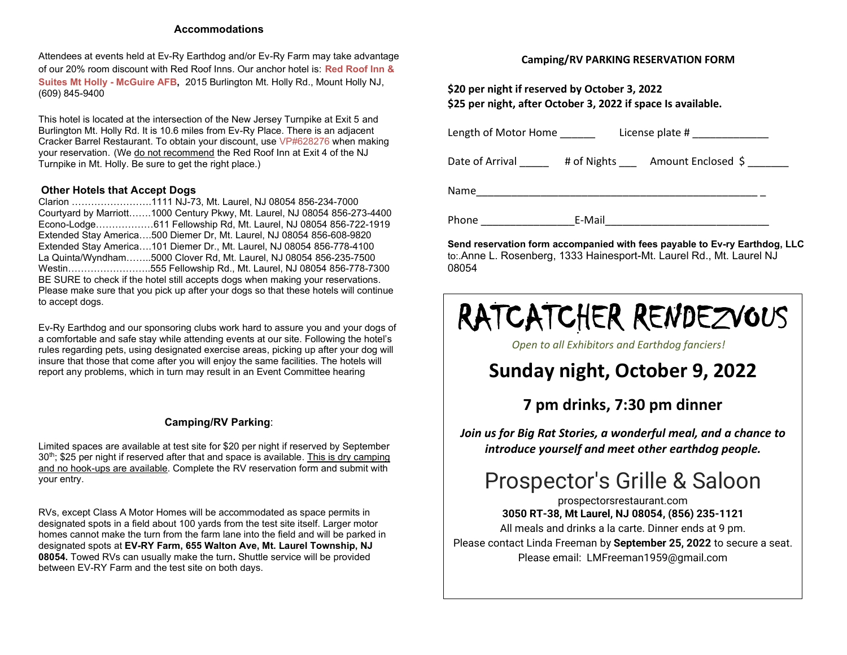### **Accommodations**

Attendees at events held at Ev-Ry Earthdog and/or Ev-Ry Farm may take advantage of our 20% room discount with Red Roof Inns. Our anchor hotel is: **Red Roof Inn & Suites Mt Holly - McGuire AFB,** [2015 Burlington Mt. Holly Rd., Mount Holly NJ,](https://www.google.com/maps/search/2015+Burlington+Mt.+Holly+Rd.,+Mount+Holly+NJ?entry=gmail&source=g) (609) 845-9400

This hotel is located at the intersection of the New Jersey Turnpike at Exit 5 and Burlington Mt. Holly Rd. It is 10.6 miles from Ev-Ry Place. There is an adjacent Cracker Barrel Restaurant. To obtain your discount, use VP#628276 when making your reservation. (We do not recommend the Red Roof Inn at Exit 4 of the NJ Turnpike in Mt. Holly. Be sure to get the right place.)

### **Other Hotels that Accept Dogs**

Clarion …………………[….1111 NJ-73, Mt. Laurel, NJ 08054](https://www.google.com/maps/search/1111+NJ-73,+Mt.+Laurel,+NJ+08054?entry=gmail&source=g) 856-234-7000 Courtyard by Marriott……[.1000 Century Pkwy, Mt. Laurel, NJ 08054](https://www.google.com/maps/search/1000+Century+Pkwy,+Mt.+Laurel,+NJ+08054?entry=gmail&source=g) 856-273-4400 Econo-Lodge……………[…611 Fellowship Rd, Mt. Laurel, NJ 08054](https://www.google.com/maps/search/611+Fellowship+Rd,+Mt.+Laurel,+NJ+08054?entry=gmail&source=g) 856-722-1919 Extended Stay America….500 Diemer [Dr, Mt. Laurel, NJ 08054](https://www.google.com/maps/search/500+Diemer+Dr,+Mt.+Laurel,+NJ+08054?entry=gmail&source=g) 856-608-9820 Extended Stay America[….101 Diemer Dr., Mt. Laurel, NJ 08054](https://www.google.com/maps/search/101+Diemer+Dr.,+Mt.+Laurel,+NJ+08054?entry=gmail&source=g) 856-778-4100 La Quinta/Wyndham…….[.5000 Clover Rd, Mt. Laurel, NJ 08054](https://www.google.com/maps/search/5000+Clover+Rd,+Mt.+Laurel,+NJ+08054?entry=gmail&source=g) 856-235-7500 Westin……………………[..555 Fellowship Rd., Mt. Laurel, NJ 08054](https://www.google.com/maps/search/555+Fellowship+Rd.,+Mt.+Laurel,+NJ+08054?entry=gmail&source=g) 856-778-7300 BE SURE to check if the hotel still accepts dogs when making your reservations. Please make sure that you pick up after your dogs so that these hotels will continue to accept dogs.

Ev-Ry Earthdog and our sponsoring clubs work hard to assure you and your dogs of a comfortable and safe stay while attending events at our site. Following the hotel's rules regarding pets, using designated exercise areas, picking up after your dog will insure that those that come after you will enjoy the same facilities. The hotels will report any problems, which in turn may result in an Event Committee hearing

### **Camping/RV Parking**:

Limited spaces are available at test site for \$20 per night if reserved by September  $30<sup>th</sup>$ ; \$25 per night if reserved after that and space is available. This is dry camping and no hook-ups are available. Complete the RV reservation form and submit with your entry.

RVs, except Class A Motor Homes will be accommodated as space permits in designated spots in a field about 100 yards from the test site itself. Larger motor homes cannot make the turn from the farm lane into the field and will be parked in designated spots at **EV-RY Farm, 655 Walton Ave, Mt. Laurel Township, NJ 08054.** Towed RVs can usually make the turn**.** Shuttle service will be provided between EV-RY Farm and the test site on both days.

### **Camping/RV PARKING RESERVATION FORM**

**\$20 per night if reserved by October 3, 2022 \$25 per night, after October 3, 2022 if space Is available.** 

| Length of Motor Home |             | License plate #    |
|----------------------|-------------|--------------------|
| Date of Arrival      | # of Nights | Amount Enclosed \$ |
| Name                 |             |                    |
| Phone                | E-Mail      |                    |

**Send reservation form accompanied with fees payable to Ev-ry Earthdog, LLC** to:.Anne L. Rosenberg, 1333 Hainesport-Mt. Laurel Rd., Mt. Laurel NJ 08054

# RATCATCHER RENDEZVOUS

*Open to all Exhibitors and Earthdog fanciers!*

# **Sunday night, October 9, 2022**

# **7 pm drinks, 7:30 pm dinner**

*Join us for Big Rat Stories, a wonderful meal, and a chance to introduce yourself and meet other earthdog people.*

# Prospector's Grille & Saloon

[prospectorsrestaurant.com](https://r.search.yahoo.com/_ylt=AwrEzepjRfRh6d0AiC1XNyoA;_ylu=Y29sbwNiZjEEcG9zAzEEdnRpZAMEc2VjA3Nj/RV=2/RE=1643427300/RO=10/RU=http%3a%2f%2fwww.prospectorsrestaurant.com%2f/RK=2/RS=KXdDz0oQfseH0ZHFga5acEfdOYM-) **3050 RT-38, Mt Laurel, NJ 08054, (856) 235-1121** All meals and drinks a la carte. Dinner ends at 9 pm. Please contact Linda Freeman by **September 25, 2022** to secure a seat. Please email: LMFreeman1959@gmail.com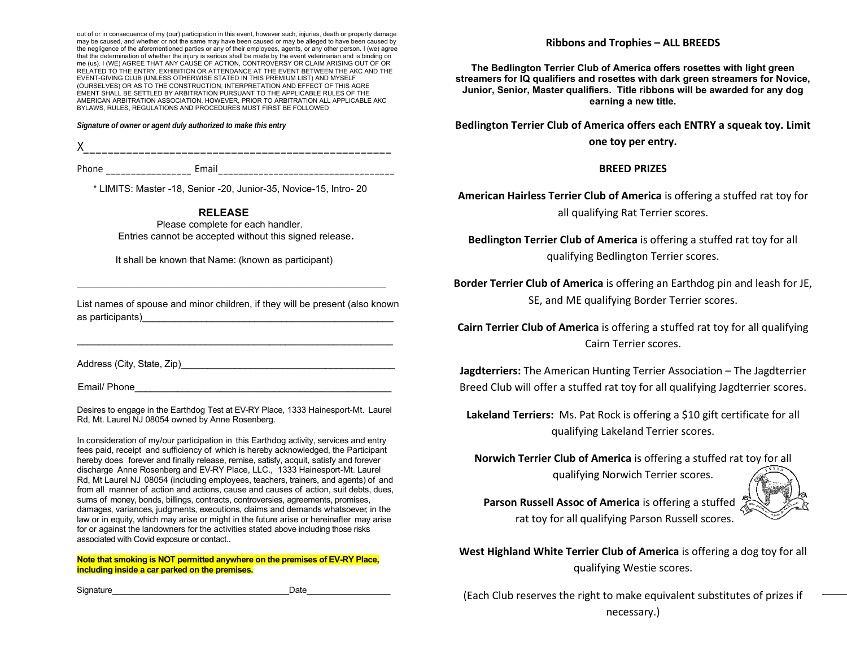out of or in consequence of my (our) participation in this event, however such, injuries, death or property damage may be caused, and whether or not the same may have been caused or may be alleged to have been caused by the negligence of the aforementioned parties or any of their employees, agents, or any other person. I (we) agree that the determination of whether the injury is serious shall be made by the event veterinarian and is binding on me (us). I (WE) AGREE THAT ANY CAUSE OF ACTION, CONTROVERSY OR CLAIM ARISING OUT OF OR RELATED TO THE ENTRY, EXHIBITION OR ATTENDANCE AT THE EVENT BETWEEN THE AKC AND THE EVENT-GIVING CLUB (UNLESS OTHERWISE STATED IN THIS PREMIUM LIST) AND MYSELF (OURSELVES) OR AS TO THE CONSTRUCTION, INTERPRETATION AND EFFECT OF THIS AGRE EMENT SHALL BE SETTLED BY ARBITRATION PURSUANT TO THE APPLICABLE RULES OF THE AMERICAN ARBITRATION ASSOCIATION. HOWEVER, PRIOR TO ARBITRATION ALL APPLICABLE AKC BYLAWS, RULES, REGULATIONS AND PROCEDURES MUST FIRST BE FOLLOWED

*Signature of owner or agent duly authorized to make this entry*

 $\times$ 

Phone example are example as Email

\* LIMITS: Master -18, Senior -20, Junior-35, Novice-15, Intro- 20

### **RELEASE**

 Please complete for each handler. Entries cannot be accepted without this signed release**.**

It shall be known that Name: (known as participant)

\_\_\_\_\_\_\_\_\_\_\_\_\_\_\_\_\_\_\_\_\_\_\_\_\_\_\_\_\_\_\_\_\_\_\_\_\_\_\_\_\_\_\_\_\_\_\_\_\_\_\_\_\_\_\_\_\_\_\_\_\_\_\_\_\_

List names of spouse and minor children, if they will be present (also known as participants)

\_\_\_\_\_\_\_\_\_\_\_\_\_\_\_\_\_\_\_\_\_\_\_\_\_\_\_\_\_\_\_\_\_\_\_\_\_\_\_\_\_\_\_\_\_\_\_\_\_\_\_\_\_\_\_\_\_\_\_

Address (City, State, Zip)

Email/ Phone

Desires to engage in the Earthdog Test at EV-RY Place, 1333 Hainesport-Mt. Laurel Rd, Mt. Laurel NJ 08054 owned by Anne Rosenberg.

In consideration of my/our participation in this Earthdog activity, services and entry fees paid, receipt and sufficiency of which is hereby acknowledged, the Participant hereby does forever and finally release, remise, satisfy, acquit, satisfy and forever discharge Anne Rosenberg and EV-RY Place, LLC., 1333 Hainesport-Mt. Laurel Rd, Mt Laurel NJ 08054 (including employees, teachers, trainers, and agents) of and from all manner of action and actions, cause and causes of action, suit debts, dues, sums of money, bonds, billings, contracts, controversies, agreements, promises, damages, variances, judgments, executions, claims and demands whatsoever, in the law or in equity, which may arise or might in the future arise or hereinafter may arise for or against the landowners for the activities stated above including those risks associated with Covid exposure or contact..

**Note that smoking is NOT permitted anywhere on the premises of EV-RY Place, including inside a car parked on the premises.**

### **Ribbons and Trophies – ALL BREEDS**

**The Bedlington Terrier Club of America offers rosettes with light green streamers for IQ qualifiers and rosettes with dark green streamers for Novice, Junior, Senior, Master qualifiers. Title ribbons will be awarded for any dog earning a new title.**

**Bedlington Terrier Club of America offers each ENTRY a squeak toy. Limit one toy per entry.**

### **BREED PRIZES**

**American Hairless Terrier Club of America** is offering a stuffed rat toy for all qualifying Rat Terrier scores.

**Bedlington Terrier Club of America** is offering a stuffed rat toy for all qualifying Bedlington Terrier scores.

**Border Terrier Club of America** is offering an Earthdog pin and leash for JE, SE, and ME qualifying Border Terrier scores.

**Cairn Terrier Club of America** is offering a stuffed rat toy for all qualifying Cairn Terrier scores.

**Jagdterriers:** The American Hunting Terrier Association – The Jagdterrier Breed Club will offer a stuffed rat toy for all qualifying Jagdterrier scores.

**Lakeland Terriers:** Ms. Pat Rock is offering a \$10 gift certificate for all qualifying Lakeland Terrier scores.

**Norwich Terrier Club of America** is offering a stuffed rat toy for all qualifying Norwich Terrier scores.



**Parson Russell Assoc of America** is offering a stuffed rat toy for all qualifying Parson Russell scores.

**West Highland White Terrier Club of America** is offering a dog toy for all qualifying Westie scores.

Signature\_\_\_\_\_\_\_\_\_\_\_\_\_\_\_\_\_\_\_\_\_\_\_\_\_\_\_\_\_\_\_\_\_\_\_\_\_\_Date\_\_\_\_\_\_\_\_\_\_\_\_\_\_\_\_\_\_ Signature:\_\_\_X\_\_\_\_\_\_\_\_\_\_\_\_\_\_\_\_\_\_\_\_\_\_\_\_\_\_\_\_\_\_\_\_\_\_\_\_\_\_\_\_\_\_\_\_\_\_\_\_\_\_\_\_\_\_\_\_\_\_\_\_\_ (Each Club reserves the right to make equivalent substitutes of prizes if

necessary.)